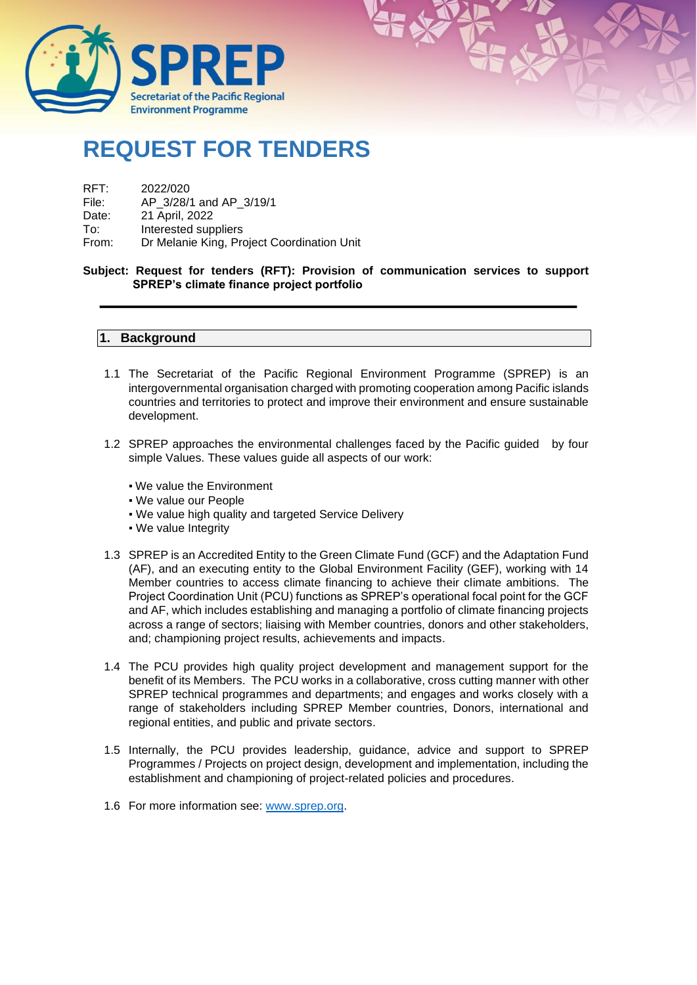

## **REQUEST FOR TENDERS**

## RFT: 2022/020<br>File: AP 3/28/

- AP 3/28/1 and AP 3/19/1
- Date: 21 April, 2022
- To: Interested suppliers
- From: Dr Melanie King, Project Coordination Unit

#### **Subject: Request for tenders (RFT): Provision of communication services to support SPREP's climate finance project portfolio**

#### **1. Background**

- 1.1 The Secretariat of the Pacific Regional Environment Programme (SPREP) is an intergovernmental organisation charged with promoting cooperation among Pacific islands countries and territories to protect and improve their environment and ensure sustainable development.
- 1.2 SPREP approaches the environmental challenges faced by the Pacific guided by four simple Values. These values guide all aspects of our work:
	- We value the Environment
	- We value our People
	- We value high quality and targeted Service Delivery
	- We value Integrity
- 1.3 SPREP is an Accredited Entity to the Green Climate Fund (GCF) and the Adaptation Fund (AF), and an executing entity to the Global Environment Facility (GEF), working with 14 Member countries to access climate financing to achieve their climate ambitions. The Project Coordination Unit (PCU) functions as SPREP's operational focal point for the GCF and AF, which includes establishing and managing a portfolio of climate financing projects across a range of sectors; liaising with Member countries, donors and other stakeholders, and; championing project results, achievements and impacts.
- 1.4 The PCU provides high quality project development and management support for the benefit of its Members. The PCU works in a collaborative, cross cutting manner with other SPREP technical programmes and departments; and engages and works closely with a range of stakeholders including SPREP Member countries, Donors, international and regional entities, and public and private sectors.
- 1.5 Internally, the PCU provides leadership, guidance, advice and support to SPREP Programmes / Projects on project design, development and implementation, including the establishment and championing of project-related policies and procedures.
- 1.6 For more information see: [www.sprep.org.](http://www.sprep.org/)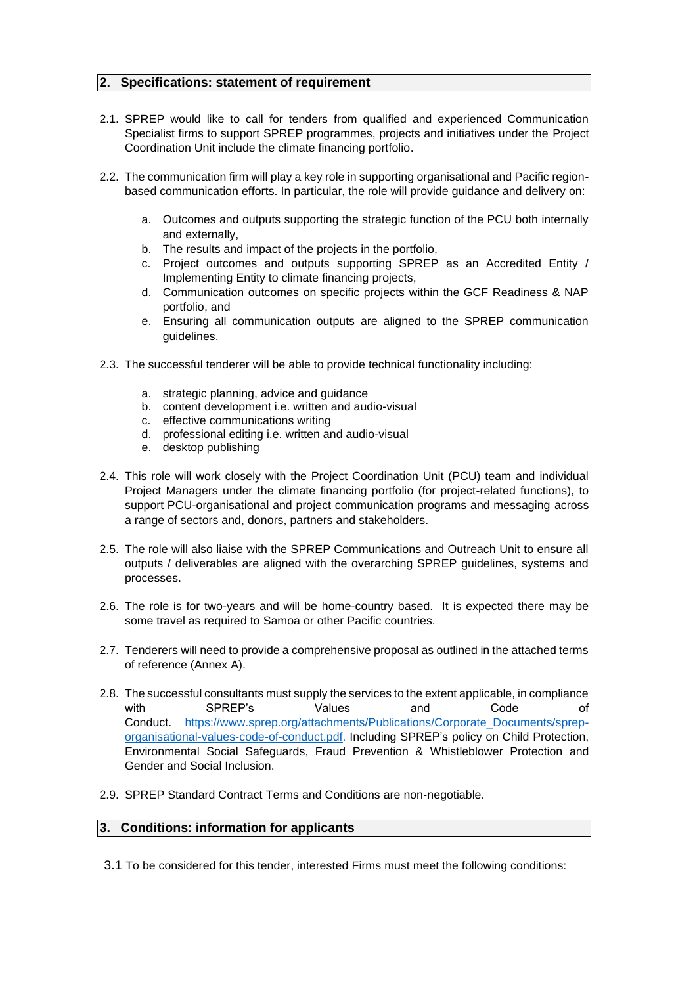#### **2. Specifications: statement of requirement**

- 2.1. SPREP would like to call for tenders from qualified and experienced Communication Specialist firms to support SPREP programmes, projects and initiatives under the Project Coordination Unit include the climate financing portfolio.
- 2.2. The communication firm will play a key role in supporting organisational and Pacific regionbased communication efforts. In particular, the role will provide guidance and delivery on:
	- a. Outcomes and outputs supporting the strategic function of the PCU both internally and externally,
	- b. The results and impact of the projects in the portfolio,
	- c. Project outcomes and outputs supporting SPREP as an Accredited Entity / Implementing Entity to climate financing projects,
	- d. Communication outcomes on specific projects within the GCF Readiness & NAP portfolio, and
	- e. Ensuring all communication outputs are aligned to the SPREP communication guidelines.
- 2.3. The successful tenderer will be able to provide technical functionality including:
	- a. strategic planning, advice and guidance
	- b. content development i.e. written and audio-visual
	- c. effective communications writing
	- d. professional editing i.e. written and audio-visual
	- e. desktop publishing
- 2.4. This role will work closely with the Project Coordination Unit (PCU) team and individual Project Managers under the climate financing portfolio (for project-related functions), to support PCU-organisational and project communication programs and messaging across a range of sectors and, donors, partners and stakeholders.
- 2.5. The role will also liaise with the SPREP Communications and Outreach Unit to ensure all outputs / deliverables are aligned with the overarching SPREP guidelines, systems and processes.
- 2.6. The role is for two-years and will be home-country based. It is expected there may be some travel as required to Samoa or other Pacific countries.
- 2.7. Tenderers will need to provide a comprehensive proposal as outlined in the attached terms of reference (Annex A).
- 2.8. The successful consultants must supply the services to the extent applicable, in compliance with SPREP's Values and Code of Conduct. [https://www.sprep.org/attachments/Publications/Corporate\\_Documents/sprep](https://www.sprep.org/attachments/Publications/Corporate_Documents/sprep-organisational-values-code-of-conduct.pdf)[organisational-values-code-of-conduct.pdf.](https://www.sprep.org/attachments/Publications/Corporate_Documents/sprep-organisational-values-code-of-conduct.pdf) Including SPREP's policy on Child Protection, Environmental Social Safeguards, Fraud Prevention & Whistleblower Protection and Gender and Social Inclusion.
- 2.9. SPREP Standard Contract Terms and Conditions are non-negotiable.

#### **3. Conditions: information for applicants**

3.1 To be considered for this tender, interested Firms must meet the following conditions: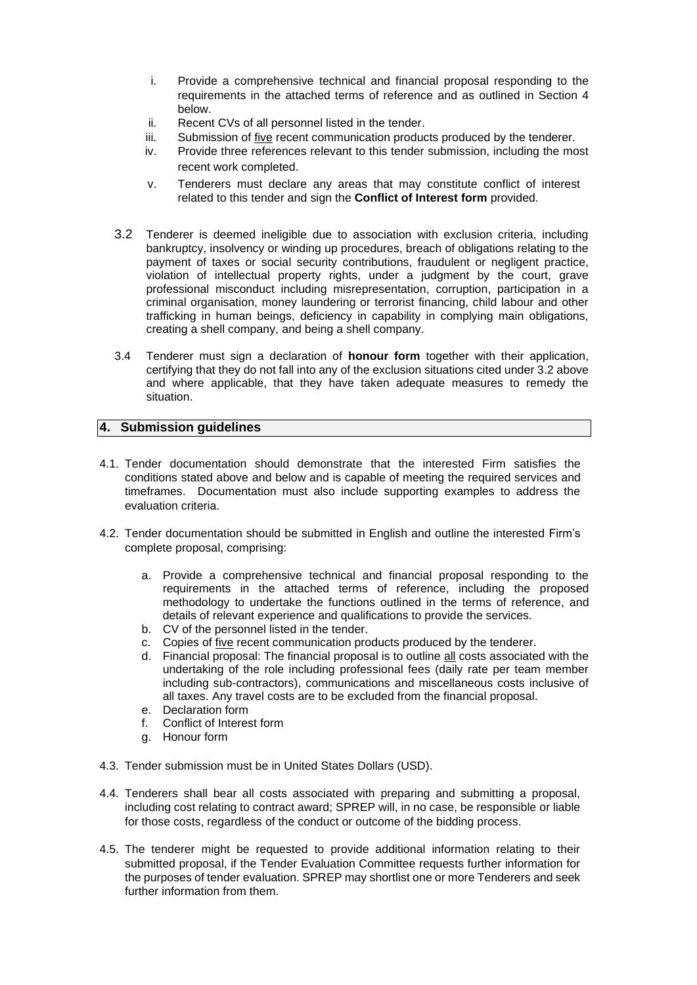- i. Provide a comprehensive technical and financial proposal responding to the requirements in the attached terms of reference and as outlined in Section 4 below.
- ii. Recent CVs of all personnel listed in the tender.
- iii. Submission of five recent communication products produced by the tenderer.
- iv. Provide three references relevant to this tender submission, including the most recent work completed.
- v. Tenderers must declare any areas that may constitute conflict of interest related to this tender and sign the **Conflict of Interest form** provided.
- 3.2 Tenderer is deemed ineligible due to association with exclusion criteria, including bankruptcy, insolvency or winding up procedures, breach of obligations relating to the payment of taxes or social security contributions, fraudulent or negligent practice, violation of intellectual property rights, under a judgment by the court, grave professional misconduct including misrepresentation, corruption, participation in a criminal organisation, money laundering or terrorist financing, child labour and other trafficking in human beings, deficiency in capability in complying main obligations, creating a shell company, and being a shell company.
- 3.4 Tenderer must sign a declaration of **honour form** together with their application, certifying that they do not fall into any of the exclusion situations cited under 3.2 above and where applicable, that they have taken adequate measures to remedy the situation.

#### **4. Submission guidelines**

- 4.1. Tender documentation should demonstrate that the interested Firm satisfies the conditions stated above and below and is capable of meeting the required services and timeframes. Documentation must also include supporting examples to address the evaluation criteria.
- 4.2. Tender documentation should be submitted in English and outline the interested Firm's complete proposal, comprising:
	- a. Provide a comprehensive technical and financial proposal responding to the requirements in the attached terms of reference, including the proposed methodology to undertake the functions outlined in the terms of reference, and details of relevant experience and qualifications to provide the services.
	- b. CV of the personnel listed in the tender.
	- c. Copies of five recent communication products produced by the tenderer.
	- d. Financial proposal: The financial proposal is to outline all costs associated with the undertaking of the role including professional fees (daily rate per team member including sub-contractors), communications and miscellaneous costs inclusive of all taxes. Any travel costs are to be excluded from the financial proposal.
	- e. Declaration form
	- f. Conflict of Interest form
	- g. Honour form
- 4.3. Tender submission must be in United States Dollars (USD).
- 4.4. Tenderers shall bear all costs associated with preparing and submitting a proposal, including cost relating to contract award; SPREP will, in no case, be responsible or liable for those costs, regardless of the conduct or outcome of the bidding process.
- 4.5. The tenderer might be requested to provide additional information relating to their submitted proposal, if the Tender Evaluation Committee requests further information for the purposes of tender evaluation. SPREP may shortlist one or more Tenderers and seek further information from them.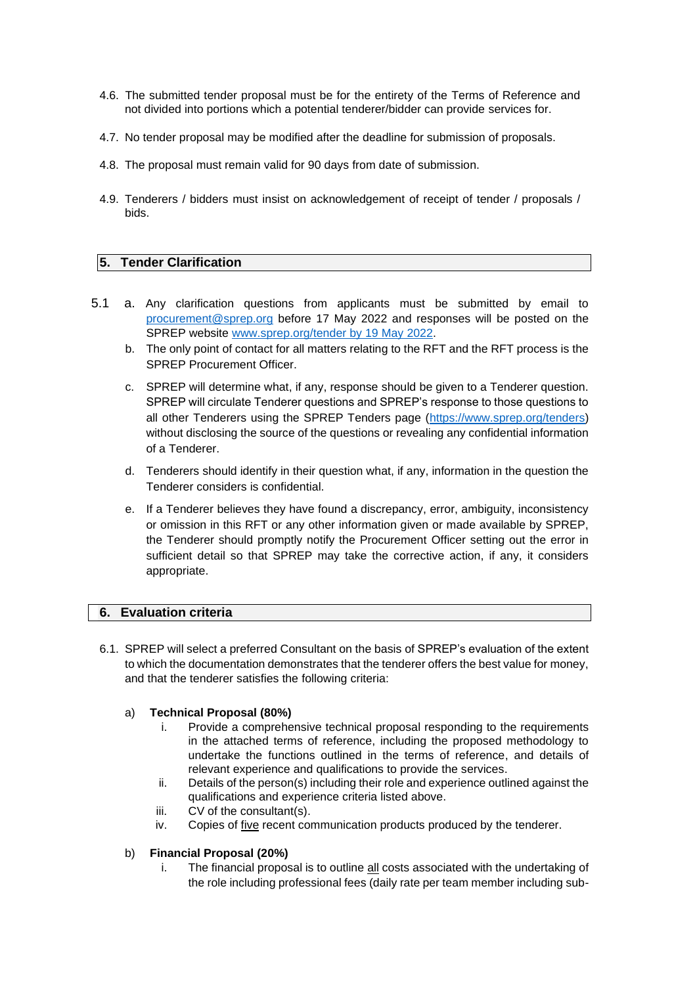- 4.6. The submitted tender proposal must be for the entirety of the Terms of Reference and not divided into portions which a potential tenderer/bidder can provide services for.
- 4.7. No tender proposal may be modified after the deadline for submission of proposals.
- 4.8. The proposal must remain valid for 90 days from date of submission.
- 4.9. Tenderers / bidders must insist on acknowledgement of receipt of tender / proposals / bids.

#### **5. Tender Clarification**

- 5.1 a. Any clarification questions from applicants must be submitted by email to [procurement@sprep.org](mailto:procurement@sprep.org) before 17 May 2022 and responses will be posted on the SPREP website [www.sprep.org/tender by 19](http://www.sprep.org/tender%20by%2019%20May%202022) May 2022.
	- b. The only point of contact for all matters relating to the RFT and the RFT process is the SPREP Procurement Officer.
	- c. SPREP will determine what, if any, response should be given to a Tenderer question. SPREP will circulate Tenderer questions and SPREP's response to those questions to all other Tenderers using the SPREP Tenders page [\(https://www.sprep.org/tenders\)](https://www.sprep.org/tenders) without disclosing the source of the questions or revealing any confidential information of a Tenderer.
	- d. Tenderers should identify in their question what, if any, information in the question the Tenderer considers is confidential.
	- e. If a Tenderer believes they have found a discrepancy, error, ambiguity, inconsistency or omission in this RFT or any other information given or made available by SPREP, the Tenderer should promptly notify the Procurement Officer setting out the error in sufficient detail so that SPREP may take the corrective action, if any, it considers appropriate.

#### **6. Evaluation criteria**

6.1. SPREP will select a preferred Consultant on the basis of SPREP's evaluation of the extent to which the documentation demonstrates that the tenderer offers the best value for money, and that the tenderer satisfies the following criteria:

#### a) **Technical Proposal (80%)**

- i. Provide a comprehensive technical proposal responding to the requirements in the attached terms of reference, including the proposed methodology to undertake the functions outlined in the terms of reference, and details of relevant experience and qualifications to provide the services.
- ii. Details of the person(s) including their role and experience outlined against the qualifications and experience criteria listed above.
- iii. CV of the consultant(s).
- iv. Copies of five recent communication products produced by the tenderer.

#### b) **Financial Proposal (20%)**

i. The financial proposal is to outline all costs associated with the undertaking of the role including professional fees (daily rate per team member including sub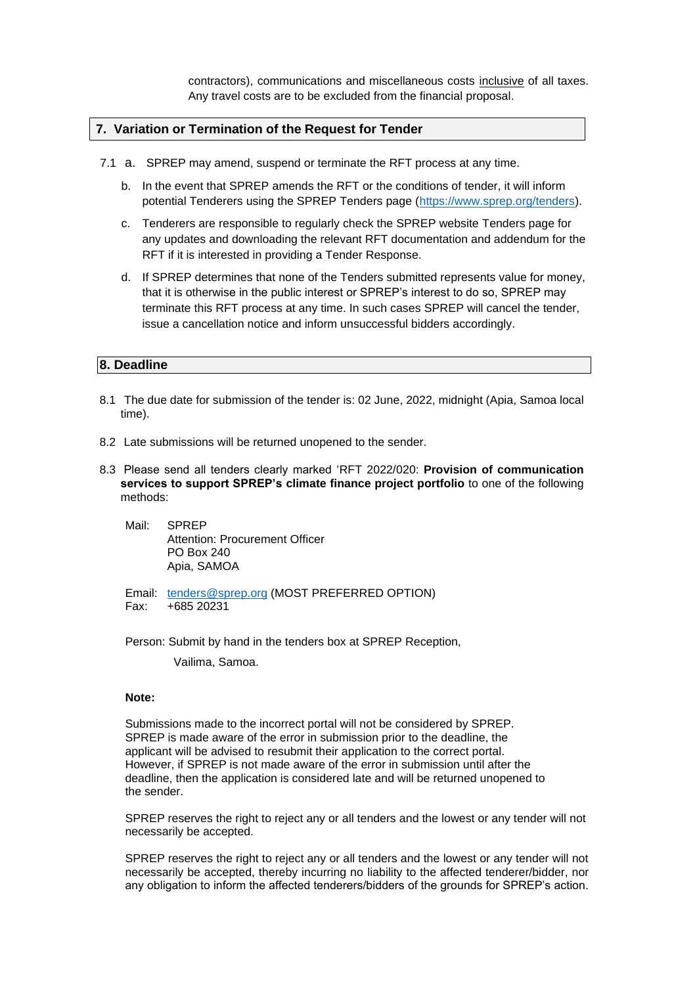contractors), communications and miscellaneous costs inclusive of all taxes. Any travel costs are to be excluded from the financial proposal.

#### **7. Variation or Termination of the Request for Tender**

- 7.1 a. SPREP may amend, suspend or terminate the RFT process at any time.
	- b. In the event that SPREP amends the RFT or the conditions of tender, it will inform potential Tenderers using the SPREP Tenders page [\(https://www.sprep.org/tenders\)](https://www.sprep.org/tenders).
	- c. Tenderers are responsible to regularly check the SPREP website Tenders page for any updates and downloading the relevant RFT documentation and addendum for the RFT if it is interested in providing a Tender Response.
	- d. If SPREP determines that none of the Tenders submitted represents value for money, that it is otherwise in the public interest or SPREP's interest to do so, SPREP may terminate this RFT process at any time. In such cases SPREP will cancel the tender, issue a cancellation notice and inform unsuccessful bidders accordingly.

#### **8. Deadline**

- 8.1 The due date for submission of the tender is: 02 June, 2022, midnight (Apia, Samoa local time).
- 8.2 Late submissions will be returned unopened to the sender.
- 8.3 Please send all tenders clearly marked 'RFT 2022/020: **Provision of communication services to support SPREP's climate finance project portfolio** to one of the following methods:
	- Mail: SPREP Attention: Procurement Officer PO Box 240 Apia, SAMOA
	- Email: [tenders@sprep.org](mailto:tenders@sprep.org) (MOST PREFERRED OPTION) Fax: +685 20231

Person: Submit by hand in the tenders box at SPREP Reception,

Vailima, Samoa.

#### **Note:**

Submissions made to the incorrect portal will not be considered by SPREP. SPREP is made aware of the error in submission prior to the deadline, the applicant will be advised to resubmit their application to the correct portal. However, if SPREP is not made aware of the error in submission until after the deadline, then the application is considered late and will be returned unopened to the sender.

SPREP reserves the right to reject any or all tenders and the lowest or any tender will not necessarily be accepted.

SPREP reserves the right to reject any or all tenders and the lowest or any tender will not necessarily be accepted, thereby incurring no liability to the affected tenderer/bidder, nor any obligation to inform the affected tenderers/bidders of the grounds for SPREP's action.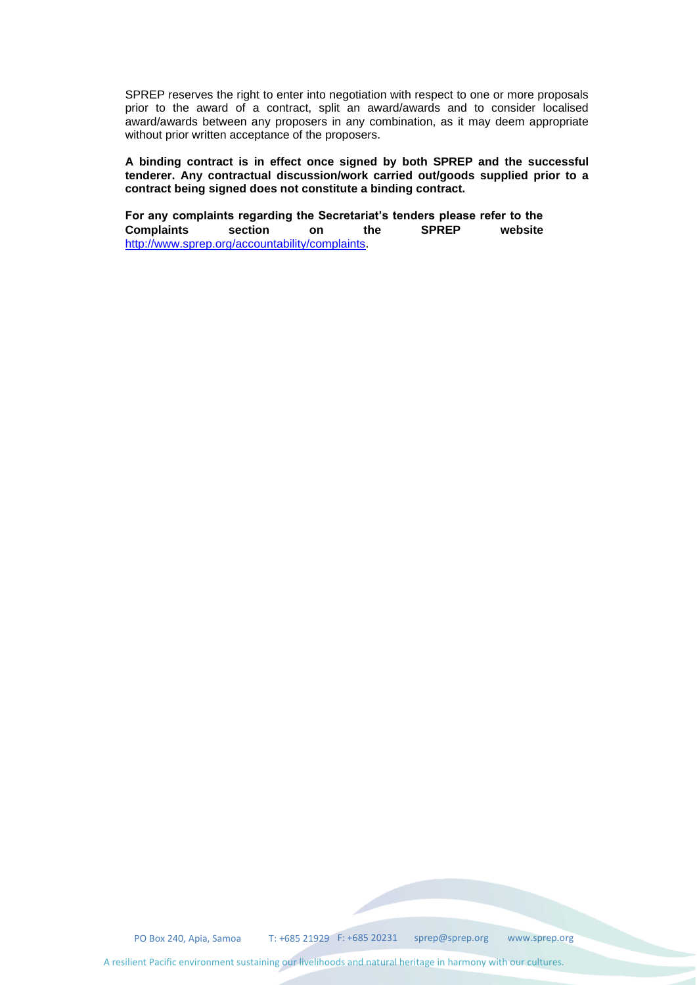SPREP reserves the right to enter into negotiation with respect to one or more proposals prior to the award of a contract, split an award/awards and to consider localised award/awards between any proposers in any combination, as it may deem appropriate without prior written acceptance of the proposers.

**A binding contract is in effect once signed by both SPREP and the successful tenderer. Any contractual discussion/work carried out/goods supplied prior to a contract being signed does not constitute a binding contract.** 

**For any complaints regarding the Secretariat's tenders please refer to the Complaints section on the SPREP website**  [http://www.sprep.org/accountability/complaints.](http://www.sprep.org/accountability/complaints)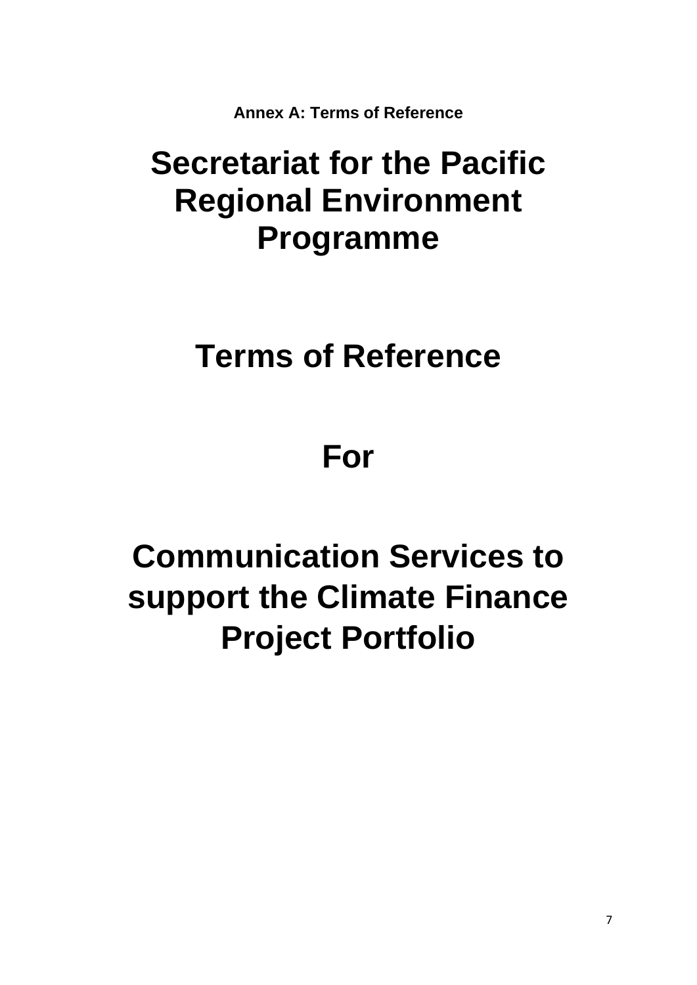**Annex A: Terms of Reference** 

# **Secretariat for the Pacific Regional Environment Programme**

## **Terms of Reference**

# **For**

# **Communication Services to support the Climate Finance Project Portfolio**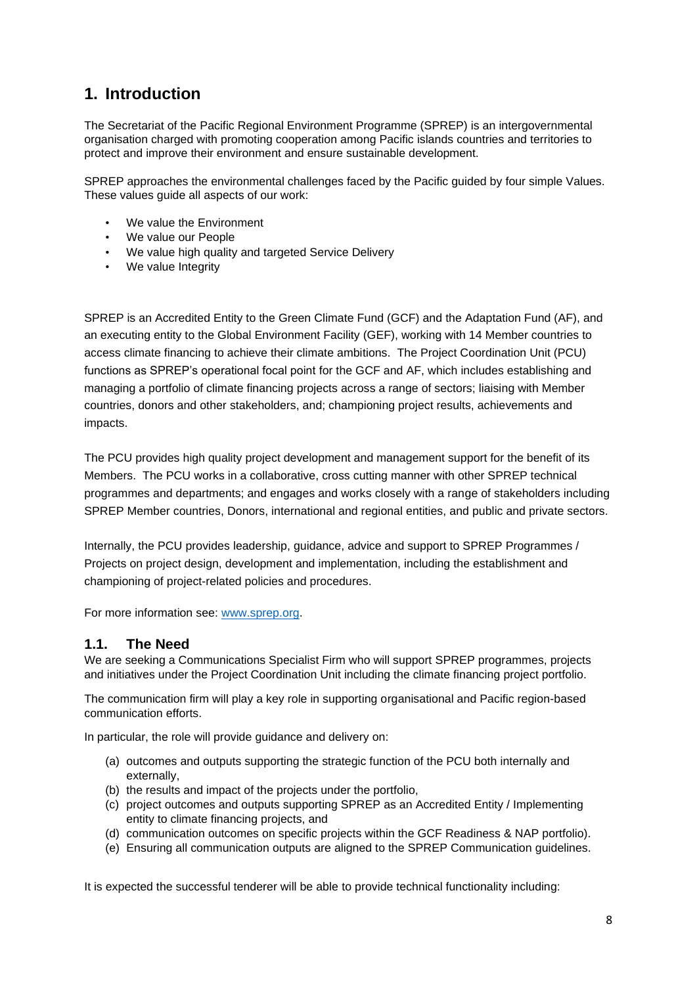## **1. Introduction**

The Secretariat of the Pacific Regional Environment Programme (SPREP) is an intergovernmental organisation charged with promoting cooperation among Pacific islands countries and territories to protect and improve their environment and ensure sustainable development.

SPREP approaches the environmental challenges faced by the Pacific guided by four simple Values. These values guide all aspects of our work:

- We value the Environment
- We value our People
- We value high quality and targeted Service Delivery
- We value Integrity

SPREP is an Accredited Entity to the Green Climate Fund (GCF) and the Adaptation Fund (AF), and an executing entity to the Global Environment Facility (GEF), working with 14 Member countries to access climate financing to achieve their climate ambitions. The Project Coordination Unit (PCU) functions as SPREP's operational focal point for the GCF and AF, which includes establishing and managing a portfolio of climate financing projects across a range of sectors; liaising with Member countries, donors and other stakeholders, and; championing project results, achievements and impacts.

The PCU provides high quality project development and management support for the benefit of its Members. The PCU works in a collaborative, cross cutting manner with other SPREP technical programmes and departments; and engages and works closely with a range of stakeholders including SPREP Member countries, Donors, international and regional entities, and public and private sectors.

Internally, the PCU provides leadership, guidance, advice and support to SPREP Programmes / Projects on project design, development and implementation, including the establishment and championing of project-related policies and procedures.

For more information see: [www.sprep.org.](http://www.sprep.org/)

#### **1.1. The Need**

We are seeking a Communications Specialist Firm who will support SPREP programmes, projects and initiatives under the Project Coordination Unit including the climate financing project portfolio.

The communication firm will play a key role in supporting organisational and Pacific region-based communication efforts.

In particular, the role will provide guidance and delivery on:

- (a) outcomes and outputs supporting the strategic function of the PCU both internally and externally,
- (b) the results and impact of the projects under the portfolio,
- (c) project outcomes and outputs supporting SPREP as an Accredited Entity / Implementing entity to climate financing projects, and
- (d) communication outcomes on specific projects within the GCF Readiness & NAP portfolio).
- (e) Ensuring all communication outputs are aligned to the SPREP Communication guidelines.

It is expected the successful tenderer will be able to provide technical functionality including: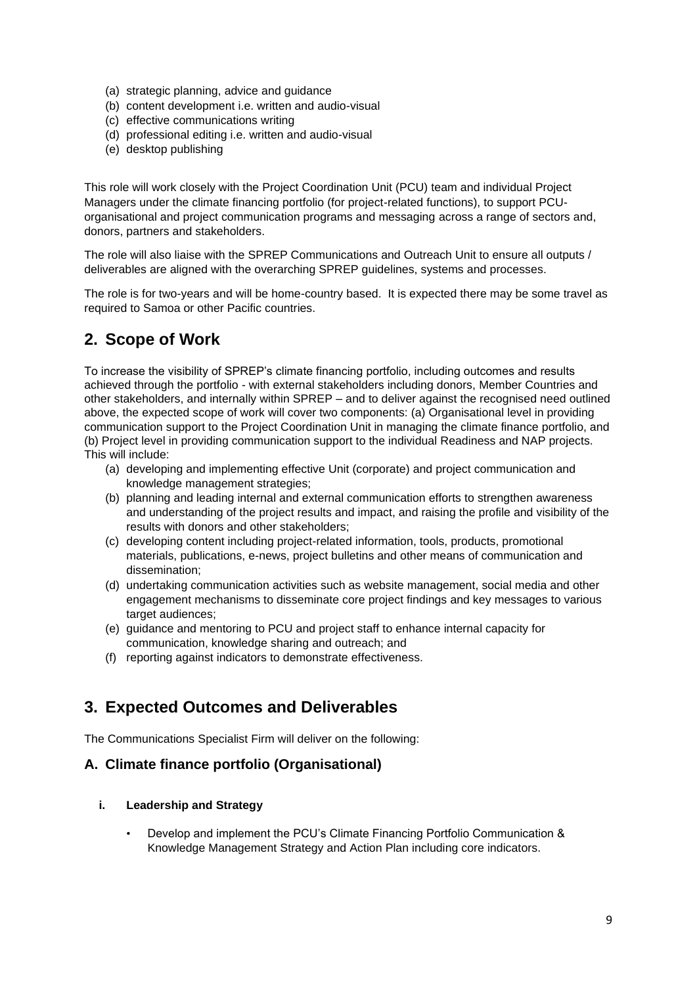- (a) strategic planning, advice and guidance
- (b) content development i.e. written and audio-visual
- (c) effective communications writing
- (d) professional editing i.e. written and audio-visual
- (e) desktop publishing

This role will work closely with the Project Coordination Unit (PCU) team and individual Project Managers under the climate financing portfolio (for project-related functions), to support PCUorganisational and project communication programs and messaging across a range of sectors and, donors, partners and stakeholders.

The role will also liaise with the SPREP Communications and Outreach Unit to ensure all outputs / deliverables are aligned with the overarching SPREP guidelines, systems and processes.

The role is for two-years and will be home-country based. It is expected there may be some travel as required to Samoa or other Pacific countries.

### **2. Scope of Work**

To increase the visibility of SPREP's climate financing portfolio, including outcomes and results achieved through the portfolio - with external stakeholders including donors, Member Countries and other stakeholders, and internally within SPREP – and to deliver against the recognised need outlined above, the expected scope of work will cover two components: (a) Organisational level in providing communication support to the Project Coordination Unit in managing the climate finance portfolio, and (b) Project level in providing communication support to the individual Readiness and NAP projects. This will include:

- (a) developing and implementing effective Unit (corporate) and project communication and knowledge management strategies;
- (b) planning and leading internal and external communication efforts to strengthen awareness and understanding of the project results and impact, and raising the profile and visibility of the results with donors and other stakeholders;
- (c) developing content including project-related information, tools, products, promotional materials, publications, e-news, project bulletins and other means of communication and dissemination;
- (d) undertaking communication activities such as website management, social media and other engagement mechanisms to disseminate core project findings and key messages to various target audiences:
- (e) guidance and mentoring to PCU and project staff to enhance internal capacity for communication, knowledge sharing and outreach; and
- (f) reporting against indicators to demonstrate effectiveness.

### **3. Expected Outcomes and Deliverables**

The Communications Specialist Firm will deliver on the following:

#### **A. Climate finance portfolio (Organisational)**

#### **i. Leadership and Strategy**

• Develop and implement the PCU's Climate Financing Portfolio Communication & Knowledge Management Strategy and Action Plan including core indicators.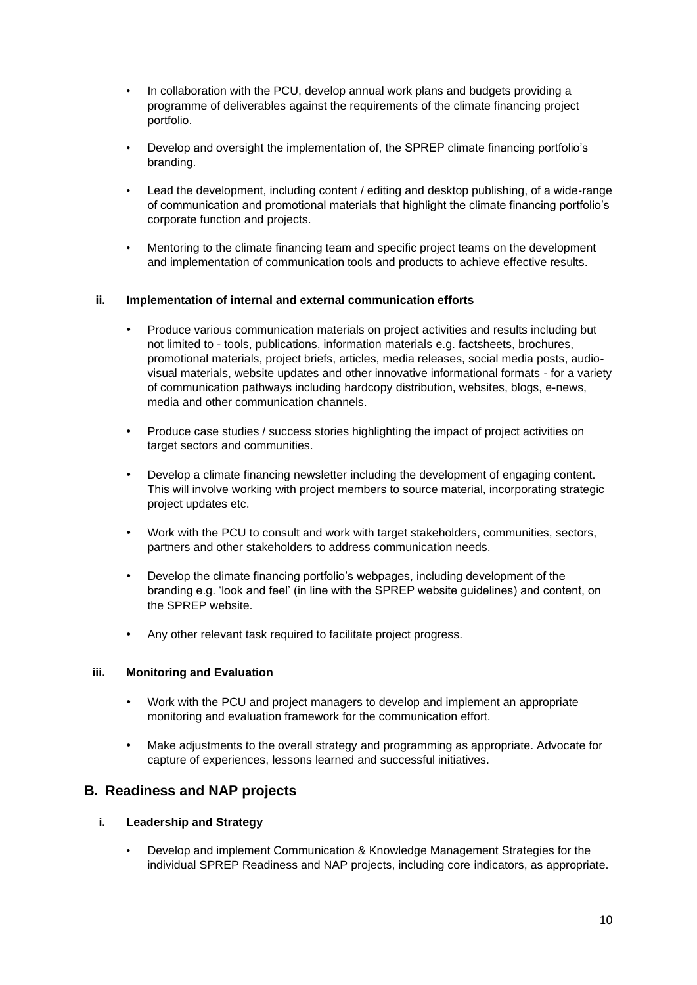- In collaboration with the PCU, develop annual work plans and budgets providing a programme of deliverables against the requirements of the climate financing project portfolio.
- Develop and oversight the implementation of, the SPREP climate financing portfolio's branding.
- Lead the development, including content / editing and desktop publishing, of a wide-range of communication and promotional materials that highlight the climate financing portfolio's corporate function and projects.
- Mentoring to the climate financing team and specific project teams on the development and implementation of communication tools and products to achieve effective results.

#### **ii. Implementation of internal and external communication efforts**

- Produce various communication materials on project activities and results including but not limited to - tools, publications, information materials e.g. factsheets, brochures, promotional materials, project briefs, articles, media releases, social media posts, audiovisual materials, website updates and other innovative informational formats - for a variety of communication pathways including hardcopy distribution, websites, blogs, e-news, media and other communication channels.
- Produce case studies / success stories highlighting the impact of project activities on target sectors and communities.
- Develop a climate financing newsletter including the development of engaging content. This will involve working with project members to source material, incorporating strategic project updates etc.
- Work with the PCU to consult and work with target stakeholders, communities, sectors, partners and other stakeholders to address communication needs.
- Develop the climate financing portfolio's webpages, including development of the branding e.g. 'look and feel' (in line with the SPREP website guidelines) and content, on the SPREP website.
- Any other relevant task required to facilitate project progress.

#### **iii. Monitoring and Evaluation**

- Work with the PCU and project managers to develop and implement an appropriate monitoring and evaluation framework for the communication effort.
- Make adjustments to the overall strategy and programming as appropriate. Advocate for capture of experiences, lessons learned and successful initiatives.

#### **B. Readiness and NAP projects**

#### **i. Leadership and Strategy**

• Develop and implement Communication & Knowledge Management Strategies for the individual SPREP Readiness and NAP projects, including core indicators, as appropriate.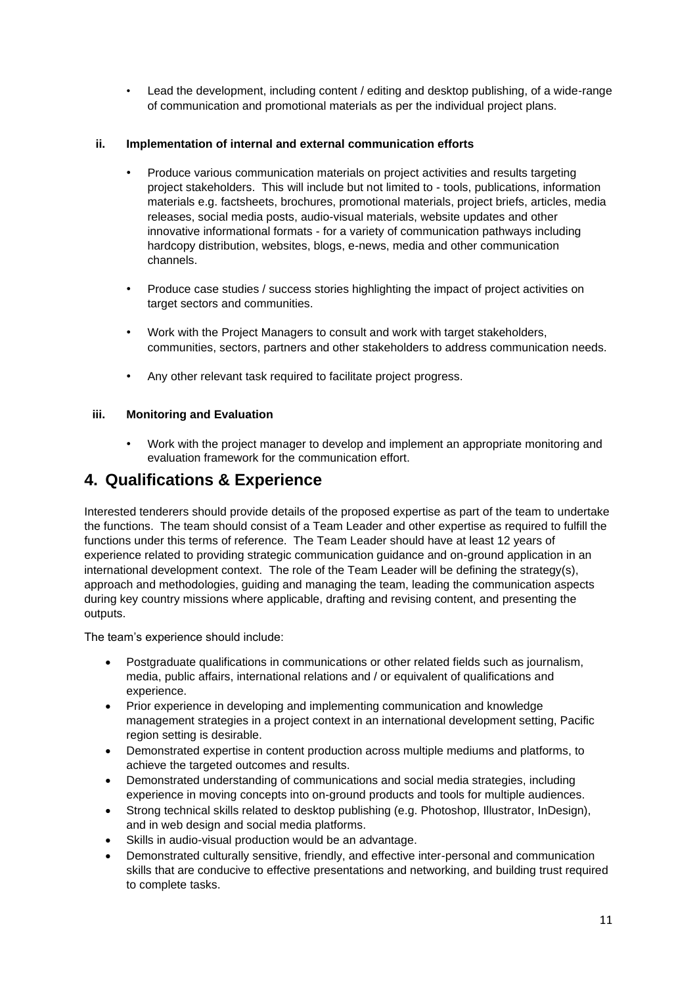• Lead the development, including content / editing and desktop publishing, of a wide-range of communication and promotional materials as per the individual project plans.

#### **ii. Implementation of internal and external communication efforts**

- Produce various communication materials on project activities and results targeting project stakeholders. This will include but not limited to - tools, publications, information materials e.g. factsheets, brochures, promotional materials, project briefs, articles, media releases, social media posts, audio-visual materials, website updates and other innovative informational formats - for a variety of communication pathways including hardcopy distribution, websites, blogs, e-news, media and other communication channels.
- Produce case studies / success stories highlighting the impact of project activities on target sectors and communities.
- Work with the Project Managers to consult and work with target stakeholders, communities, sectors, partners and other stakeholders to address communication needs.
- Any other relevant task required to facilitate project progress.

#### **iii. Monitoring and Evaluation**

• Work with the project manager to develop and implement an appropriate monitoring and evaluation framework for the communication effort.

### **4. Qualifications & Experience**

Interested tenderers should provide details of the proposed expertise as part of the team to undertake the functions. The team should consist of a Team Leader and other expertise as required to fulfill the functions under this terms of reference. The Team Leader should have at least 12 years of experience related to providing strategic communication guidance and on-ground application in an international development context. The role of the Team Leader will be defining the strategy(s), approach and methodologies, guiding and managing the team, leading the communication aspects during key country missions where applicable, drafting and revising content, and presenting the outputs.

The team's experience should include:

- Postgraduate qualifications in communications or other related fields such as journalism, media, public affairs, international relations and / or equivalent of qualifications and experience.
- Prior experience in developing and implementing communication and knowledge management strategies in a project context in an international development setting, Pacific region setting is desirable.
- Demonstrated expertise in content production across multiple mediums and platforms, to achieve the targeted outcomes and results.
- Demonstrated understanding of communications and social media strategies, including experience in moving concepts into on-ground products and tools for multiple audiences.
- Strong technical skills related to desktop publishing (e.g. Photoshop, Illustrator, InDesign), and in web design and social media platforms.
- Skills in audio-visual production would be an advantage.
- Demonstrated culturally sensitive, friendly, and effective inter-personal and communication skills that are conducive to effective presentations and networking, and building trust required to complete tasks.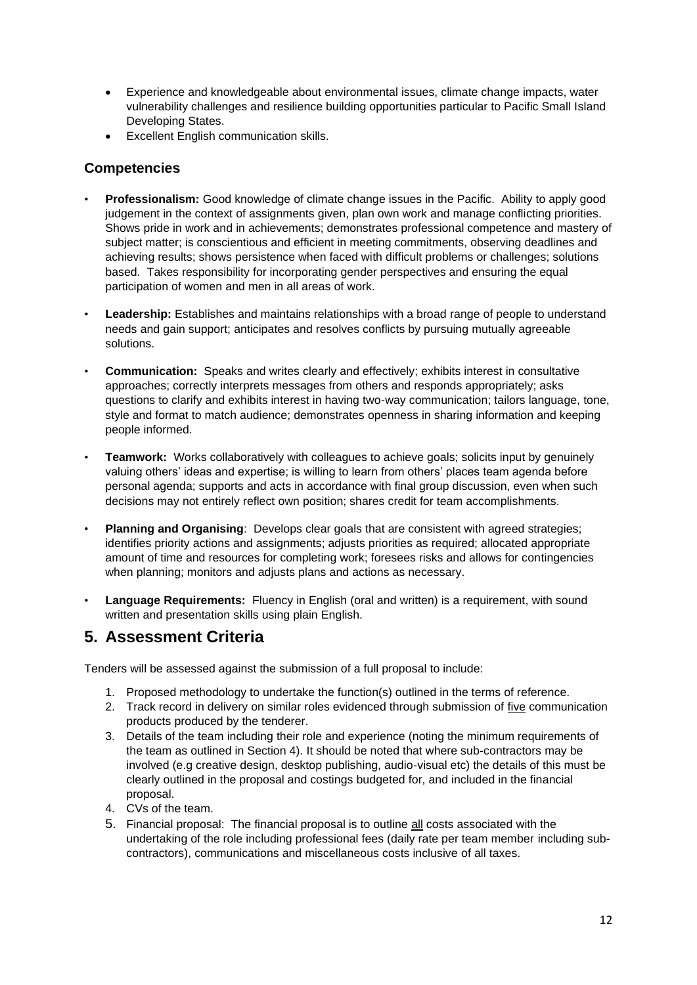- Experience and knowledgeable about environmental issues, climate change impacts, water vulnerability challenges and resilience building opportunities particular to Pacific Small Island Developing States.
- Excellent English communication skills.

#### **Competencies**

- **Professionalism:** Good knowledge of climate change issues in the Pacific. Ability to apply good judgement in the context of assignments given, plan own work and manage conflicting priorities. Shows pride in work and in achievements; demonstrates professional competence and mastery of subject matter; is conscientious and efficient in meeting commitments, observing deadlines and achieving results; shows persistence when faced with difficult problems or challenges; solutions based. Takes responsibility for incorporating gender perspectives and ensuring the equal participation of women and men in all areas of work.
- **Leadership:** Establishes and maintains relationships with a broad range of people to understand needs and gain support; anticipates and resolves conflicts by pursuing mutually agreeable solutions.
- **Communication:** Speaks and writes clearly and effectively; exhibits interest in consultative approaches; correctly interprets messages from others and responds appropriately; asks questions to clarify and exhibits interest in having two-way communication; tailors language, tone, style and format to match audience; demonstrates openness in sharing information and keeping people informed.
- **Teamwork:** Works collaboratively with colleagues to achieve goals; solicits input by genuinely valuing others' ideas and expertise; is willing to learn from others' places team agenda before personal agenda; supports and acts in accordance with final group discussion, even when such decisions may not entirely reflect own position; shares credit for team accomplishments.
- **Planning and Organising:** Develops clear goals that are consistent with agreed strategies; identifies priority actions and assignments; adjusts priorities as required; allocated appropriate amount of time and resources for completing work; foresees risks and allows for contingencies when planning; monitors and adjusts plans and actions as necessary.
- **Language Requirements:** Fluency in English (oral and written) is a requirement, with sound written and presentation skills using plain English.

### **5. Assessment Criteria**

Tenders will be assessed against the submission of a full proposal to include:

- 1. Proposed methodology to undertake the function(s) outlined in the terms of reference.
- 2. Track record in delivery on similar roles evidenced through submission of five communication products produced by the tenderer.
- 3. Details of the team including their role and experience (noting the minimum requirements of the team as outlined in Section 4). It should be noted that where sub-contractors may be involved (e.g creative design, desktop publishing, audio-visual etc) the details of this must be clearly outlined in the proposal and costings budgeted for, and included in the financial proposal.
- 4. CVs of the team.
- 5. Financial proposal: The financial proposal is to outline all costs associated with the undertaking of the role including professional fees (daily rate per team member including subcontractors), communications and miscellaneous costs inclusive of all taxes.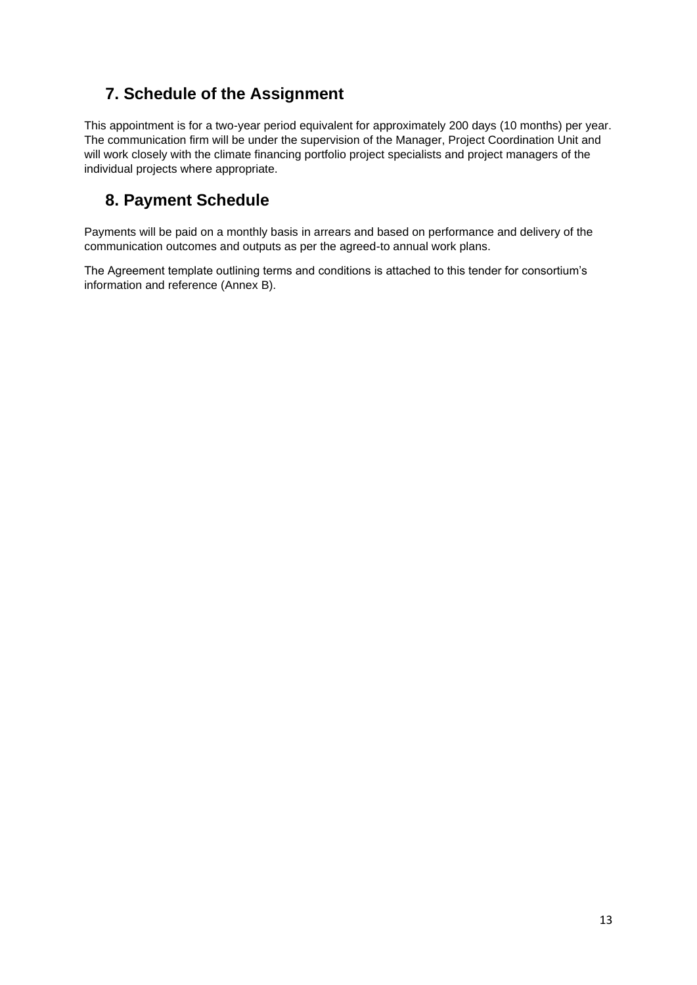## **7. Schedule of the Assignment**

This appointment is for a two-year period equivalent for approximately 200 days (10 months) per year. The communication firm will be under the supervision of the Manager, Project Coordination Unit and will work closely with the climate financing portfolio project specialists and project managers of the individual projects where appropriate.

## **8. Payment Schedule**

Payments will be paid on a monthly basis in arrears and based on performance and delivery of the communication outcomes and outputs as per the agreed-to annual work plans.

The Agreement template outlining terms and conditions is attached to this tender for consortium's information and reference (Annex B).